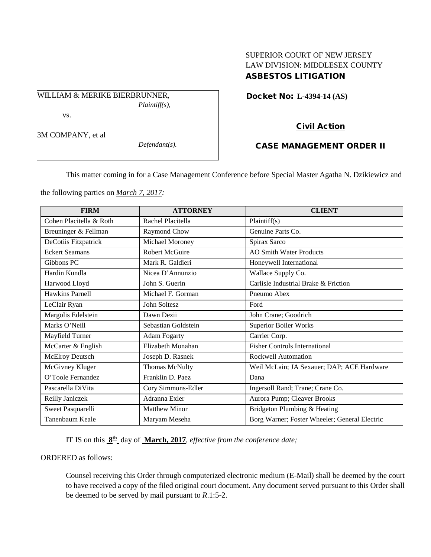## SUPERIOR COURT OF NEW JERSEY LAW DIVISION: MIDDLESEX COUNTY ASBESTOS LITIGATION

Docket No: **L-4394-14 (AS)** 

vs.

3M COMPANY, et al

*Defendant(s).*

*Plaintiff(s),*

# Civil Action

## CASE MANAGEMENT ORDER II

This matter coming in for a Case Management Conference before Special Master Agatha N. Dzikiewicz and

the following parties on *March 7, 2017:*

WILLIAM & MERIKE BIERBRUNNER,

| <b>FIRM</b>             | <b>ATTORNEY</b>      | <b>CLIENT</b>                                 |
|-------------------------|----------------------|-----------------------------------------------|
| Cohen Placitella & Roth | Rachel Placitella    | Plaintiff(s)                                  |
| Breuninger & Fellman    | Raymond Chow         | Genuine Parts Co.                             |
| DeCotiis Fitzpatrick    | Michael Moroney      | Spirax Sarco                                  |
| <b>Eckert Seamans</b>   | Robert McGuire       | <b>AO Smith Water Products</b>                |
| Gibbons PC              | Mark R. Galdieri     | Honeywell International                       |
| Hardin Kundla           | Nicea D'Annunzio     | Wallace Supply Co.                            |
| Harwood Lloyd           | John S. Guerin       | Carlisle Industrial Brake & Friction          |
| Hawkins Parnell         | Michael F. Gorman    | Pneumo Abex                                   |
| LeClair Ryan            | John Soltesz         | Ford                                          |
| Margolis Edelstein      | Dawn Dezii           | John Crane; Goodrich                          |
| Marks O'Neill           | Sebastian Goldstein  | <b>Superior Boiler Works</b>                  |
| Mayfield Turner         | <b>Adam Fogarty</b>  | Carrier Corp.                                 |
| McCarter & English      | Elizabeth Monahan    | <b>Fisher Controls International</b>          |
| McElroy Deutsch         | Joseph D. Rasnek     | Rockwell Automation                           |
| McGivney Kluger         | Thomas McNulty       | Weil McLain; JA Sexauer; DAP; ACE Hardware    |
| O'Toole Fernandez       | Franklin D. Paez     | Dana                                          |
| Pascarella DiVita       | Cory Simmons-Edler   | Ingersoll Rand; Trane; Crane Co.              |
| Reilly Janiczek         | Adranna Exler        | Aurora Pump; Cleaver Brooks                   |
| Sweet Pasquarelli       | <b>Matthew Minor</b> | Bridgeton Plumbing & Heating                  |
| Tanenbaum Keale         | Maryam Meseha        | Borg Warner; Foster Wheeler; General Electric |

IT IS on this **8th** day of **March, 2017**, *effective from the conference date;*

#### ORDERED as follows:

Counsel receiving this Order through computerized electronic medium (E-Mail) shall be deemed by the court to have received a copy of the filed original court document. Any document served pursuant to this Order shall be deemed to be served by mail pursuant to *R*.1:5-2.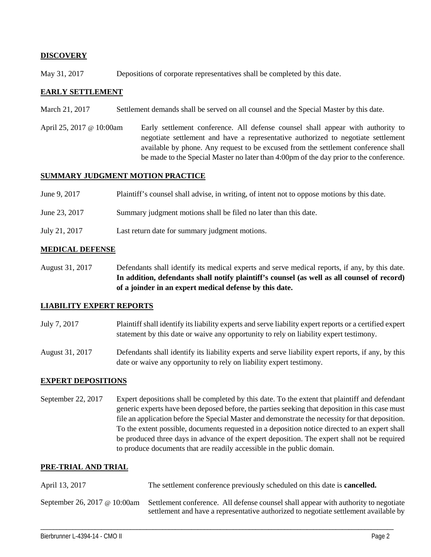## **DISCOVERY**

May 31, 2017 Depositions of corporate representatives shall be completed by this date.

#### **EARLY SETTLEMENT**

- March 21, 2017 Settlement demands shall be served on all counsel and the Special Master by this date.
- April 25, 2017 @ 10:00am Early settlement conference. All defense counsel shall appear with authority to negotiate settlement and have a representative authorized to negotiate settlement available by phone. Any request to be excused from the settlement conference shall be made to the Special Master no later than 4:00pm of the day prior to the conference.

#### **SUMMARY JUDGMENT MOTION PRACTICE**

| June 9, 2017  | Plaintiff's counsel shall advise, in writing, of intent not to oppose motions by this date. |
|---------------|---------------------------------------------------------------------------------------------|
| June 23, 2017 | Summary judgment motions shall be filed no later than this date.                            |
| July 21, 2017 | Last return date for summary judgment motions.                                              |

## **MEDICAL DEFENSE**

August 31, 2017 Defendants shall identify its medical experts and serve medical reports, if any, by this date. **In addition, defendants shall notify plaintiff's counsel (as well as all counsel of record) of a joinder in an expert medical defense by this date.**

#### **LIABILITY EXPERT REPORTS**

July 7, 2017 Plaintiff shall identify its liability experts and serve liability expert reports or a certified expert statement by this date or waive any opportunity to rely on liability expert testimony.

August 31, 2017 Defendants shall identify its liability experts and serve liability expert reports, if any, by this date or waive any opportunity to rely on liability expert testimony.

## **EXPERT DEPOSITIONS**

September 22, 2017 Expert depositions shall be completed by this date. To the extent that plaintiff and defendant generic experts have been deposed before, the parties seeking that deposition in this case must file an application before the Special Master and demonstrate the necessity for that deposition. To the extent possible, documents requested in a deposition notice directed to an expert shall be produced three days in advance of the expert deposition. The expert shall not be required to produce documents that are readily accessible in the public domain.

## **PRE-TRIAL AND TRIAL**

| April 13, 2017 | The settlement conference previously scheduled on this date is <b>cancelled.</b>                                                                                                                         |
|----------------|----------------------------------------------------------------------------------------------------------------------------------------------------------------------------------------------------------|
|                | September 26, 2017 @ 10:00am Settlement conference. All defense counsel shall appear with authority to negotiate<br>settlement and have a representative authorized to negotiate settlement available by |

\_\_\_\_\_\_\_\_\_\_\_\_\_\_\_\_\_\_\_\_\_\_\_\_\_\_\_\_\_\_\_\_\_\_\_\_\_\_\_\_\_\_\_\_\_\_\_\_\_\_\_\_\_\_\_\_\_\_\_\_\_\_\_\_\_\_\_\_\_\_\_\_\_\_\_\_\_\_\_\_\_\_\_\_\_\_\_\_\_\_\_\_\_\_\_\_\_\_\_\_\_\_\_\_\_\_\_\_\_\_